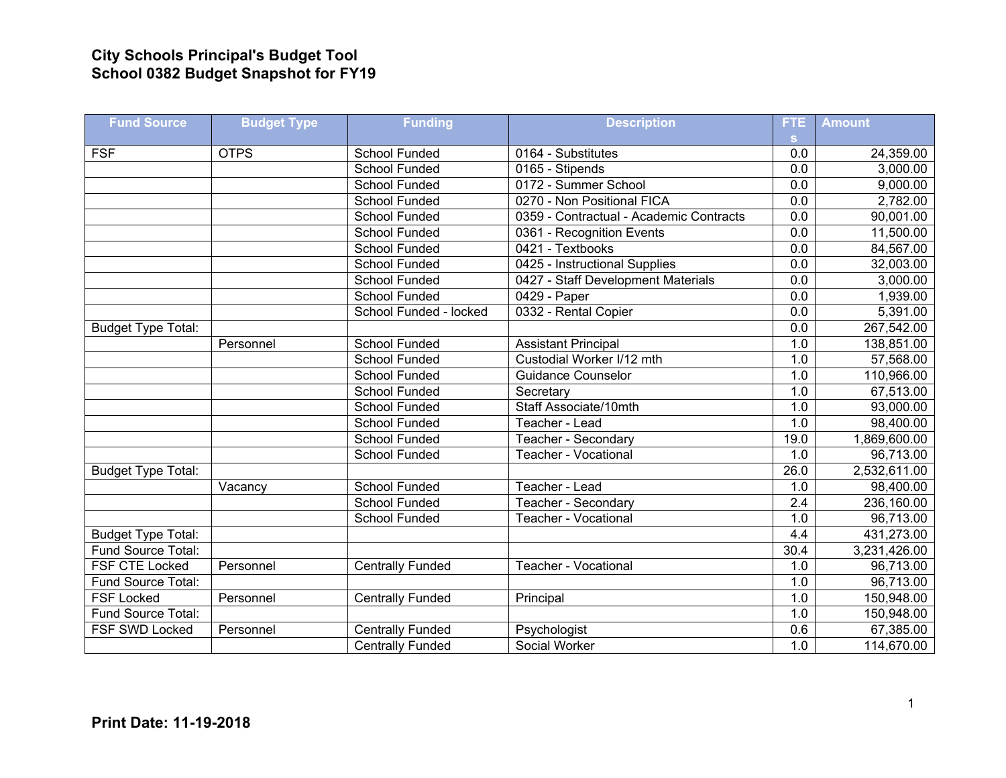## **City Schools Principal's Budget Tool School 0382 Budget Snapshot for FY19**

| <b>Fund Source</b>        | <b>Budget Type</b> | <b>Funding</b>          | <b>Description</b>                      | FTE.             | <b>Amount</b> |
|---------------------------|--------------------|-------------------------|-----------------------------------------|------------------|---------------|
|                           |                    |                         |                                         | S.               |               |
| <b>FSF</b>                | <b>OTPS</b>        | School Funded           | 0164 - Substitutes                      | 0.0              | 24,359.00     |
|                           |                    | <b>School Funded</b>    | 0165 - Stipends                         | 0.0              | 3,000.00      |
|                           |                    | <b>School Funded</b>    | 0172 - Summer School                    | 0.0              | 9,000.00      |
|                           |                    | School Funded           | 0270 - Non Positional FICA              | $\overline{0.0}$ | 2,782.00      |
|                           |                    | School Funded           | 0359 - Contractual - Academic Contracts | $\overline{0.0}$ | 90,001.00     |
|                           |                    | School Funded           | 0361 - Recognition Events               | 0.0              | 11,500.00     |
|                           |                    | <b>School Funded</b>    | 0421 - Textbooks                        | 0.0              | 84,567.00     |
|                           |                    | <b>School Funded</b>    | 0425 - Instructional Supplies           | $\overline{0.0}$ | 32,003.00     |
|                           |                    | <b>School Funded</b>    | 0427 - Staff Development Materials      | $\overline{0.0}$ | 3,000.00      |
|                           |                    | <b>School Funded</b>    | 0429 - Paper                            | 0.0              | 1,939.00      |
|                           |                    | School Funded - locked  | 0332 - Rental Copier                    | $\overline{0.0}$ | 5,391.00      |
| Budget Type Total:        |                    |                         |                                         | 0.0              | 267,542.00    |
|                           | Personnel          | <b>School Funded</b>    | <b>Assistant Principal</b>              | 1.0              | 138,851.00    |
|                           |                    | <b>School Funded</b>    | Custodial Worker I/12 mth               | 1.0              | 57,568.00     |
|                           |                    | School Funded           | <b>Guidance Counselor</b>               | 1.0              | 110,966.00    |
|                           |                    | School Funded           | Secretary                               | 1.0              | 67,513.00     |
|                           |                    | School Funded           | Staff Associate/10mth                   | 1.0              | 93,000.00     |
|                           |                    | School Funded           | Teacher - Lead                          | 1.0              | 98,400.00     |
|                           |                    | School Funded           | Teacher - Secondary                     | 19.0             | 1,869,600.00  |
|                           |                    | School Funded           | Teacher - Vocational                    | 1.0              | 96,713.00     |
| <b>Budget Type Total:</b> |                    |                         |                                         | 26.0             | 2,532,611.00  |
|                           | Vacancy            | <b>School Funded</b>    | Teacher - Lead                          | 1.0              | 98,400.00     |
|                           |                    | <b>School Funded</b>    | Teacher - Secondary                     | $\overline{2.4}$ | 236,160.00    |
|                           |                    | School Funded           | <b>Teacher - Vocational</b>             | 1.0              | 96,713.00     |
| <b>Budget Type Total:</b> |                    |                         |                                         | 4.4              | 431,273.00    |
| Fund Source Total:        |                    |                         |                                         | 30.4             | 3,231,426.00  |
| <b>FSF CTE Locked</b>     | Personnel          | <b>Centrally Funded</b> | Teacher - Vocational                    | 1.0              | 96,713.00     |
| Fund Source Total:        |                    |                         |                                         | 1.0              | 96,713.00     |
| <b>FSF Locked</b>         | Personnel          | <b>Centrally Funded</b> | Principal                               | 1.0              | 150,948.00    |
| Fund Source Total:        |                    |                         |                                         | 1.0              | 150,948.00    |
| FSF SWD Locked            | Personnel          | <b>Centrally Funded</b> | Psychologist                            | 0.6              | 67,385.00     |
|                           |                    | <b>Centrally Funded</b> | Social Worker                           | 1.0              | 114,670.00    |